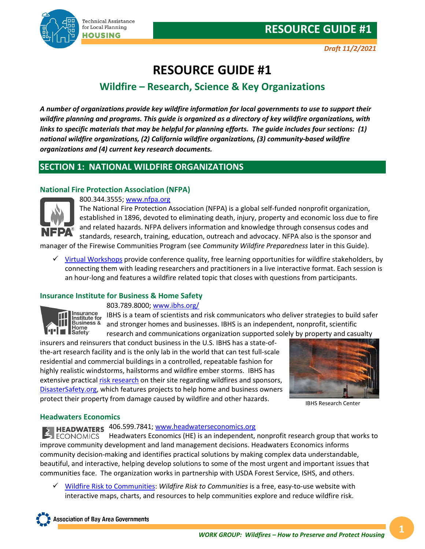

## **RESOURCE GUIDE #1**

## **Wildfire – Research, Science & Key Organizations**

*A number of organizations provide key wildfire information for local governments to use to support their wildfire planning and programs. This guide is organized as a directory of key wildfire organizations, with links to specific materials that may be helpful for planning efforts. The guide includes four sections: (1) national wildfire organizations, (2) California wildfire organizations, (3) community-based wildfire organizations and (4) current key research documents.* 

## **SECTION 1: NATIONAL WILDFIRE ORGANIZATIONS**

## **National Fire Protection Association (NFPA)**



800.344.3555; [www.nfpa.org](http://www.nfpa.org/)

The National Fire Protection Association (NFPA) is a global self-funded nonprofit organization, established in 1896, devoted to eliminating death, injury, property and economic loss due to fire and related hazards. NFPA delivers information and knowledge through consensus codes and standards, research, training, education, outreach and advocacy. NFPA also is the sponsor and

manager of the Firewise Communities Program (see *Community Wildfire Preparedness* later in this Guide).

 $\checkmark$  [Virtual Workshops](https://www.nfpa.org/Public-Education/Fire-causes-and-risks/Wildfire/Firewise-USA/Online-learning-opportunities/Virtual-Workshop-Series) provide conference quality, free learning opportunities for wildfire stakeholders, by connecting them with leading researchers and practitioners in a live interactive format. Each session is an hour-long and features a wildfire related topic that closes with questions from participants.

## **Insurance Institute for Business & Home Safety**

## 803.789.8000; [www.ibhs.org/](http://www.ibhs.org/)



IBHS is a team of scientists and risk communicators who deliver strategies to build safer and stronger homes and businesses. IBHS is an independent, nonprofit, scientific research and communications organization supported solely by property and casualty

insurers and reinsurers that conduct business in the U.S. IBHS has a state-ofthe-art research facility and is the only lab in the world that can test full-scale residential and commercial buildings in a controlled, repeatable fashion for highly realistic windstorms, hailstorms and wildfire ember storms. IBHS has extensive practical [risk research](https://ibhs.org/risk-research/wildfire/) on their site regarding wildfires and sponsors, [DisasterSafety.org,](https://disastersafety.org/wildfire/) which features projects to help home and business owners protect their property from damage caused by wildfire and other hazards.



IBHS Research Center

## **Headwaters Economics**

# HEADWATERS 406.599.7841; [www.headwaterseconomics.org](http://www.headwaterseconomics.org/)

Headwaters Economics (HE) is an independent, nonprofit research group that works to  $\blacksquare$  ECONOMICS improve community development and land management decisions. Headwaters Economics informs community decision-making and identifies practical solutions by making complex data understandable, beautiful, and interactive, helping develop solutions to some of the most urgent and important issues that communities face. The organization works in partnership with USDA Forest Service, ISHS, and others.

 [Wildfire Risk to Communities:](https://na01.safelinks.protection.outlook.com/?url=https%3A%2F%2Fwildfirerisk.org%2F&data=04%7C01%7C%7C3d0498dd69a747e87ea908d9671a888a%7C84df9e7fe9f640afb435aaaaaaaaaaaa%7C1%7C0%7C637654185930096156%7CUnknown%7CTWFpbGZsb3d8eyJWIjoiMC4wLjAwMDAiLCJQIjoiV2luMzIiLCJBTiI6Ik1haWwiLCJXVCI6Mn0%3D%7C1000&sdata=a34%2BOhjRG%2BCkTuPh87uSKYKzNgrYtiQsPESPm4CZjw0%3D&reserved=0) *Wildfire Risk to Communities* is a free, easy-to-use website with interactive maps, charts, and resources to help communities explore and reduce wildfire risk.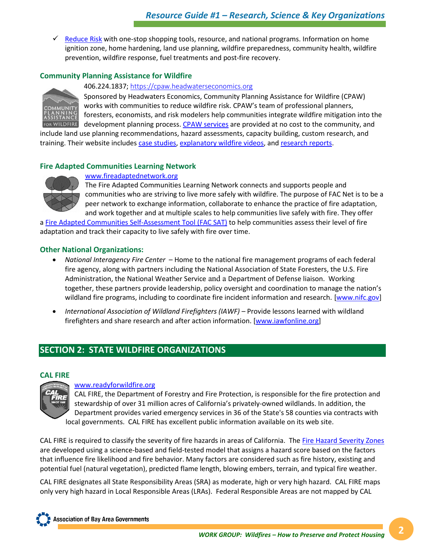$\checkmark$  [Reduce Risk](https://wildfirerisk.org/reduce-risk/home-hardening/) with one-stop shopping tools, resource, and national programs. Information on home ignition zone, home hardening, land use planning, wildfire preparedness, community health, wildfire prevention, wildfire response, fuel treatments and post-fire recovery.

## **Community Planning Assistance for Wildfire**



406.224.1837; [https://cpaw.headwaterseconomics.org](https://cpaw.headwaterseconomics.org/)

Sponsored by Headwaters Economics, Community Planning Assistance for Wildfire (CPAW) works with communities to reduce wildfire risk. CPAW's team of professional planners, foresters, economists, and risk modelers help communities integrate wildfire mitigation into the development planning process[. CPAW services](https://cpaw.headwaterseconomics.org/what-we-do/) are provided at no cost to the community, and

include land use planning recommendations, hazard assessments, capacity building, custom research, and training. Their website includes [case studies,](https://cpaw.headwaterseconomics.org/community-projects/) [explanatory wildfire videos,](https://cpaw.headwaterseconomics.org/resources/videos/) an[d research reports.](https://cpaw.headwaterseconomics.org/resources/cpaw-training-materials/)

## **Fire Adapted Communities Learning Network**



[www.fireadaptednetwork.org](http://www.fireadaptednetwork.org/)

The Fire Adapted Communities Learning Network connects and supports people and communities who are striving to live more safely with wildfire. The purpose of FAC Net is to be a peer network to exchange information, collaborate to enhance the practice of fire adaptation, and work together and at multiple scales to help communities live safely with fire. They offer

a [Fire Adapted Communities Self-Assessment Tool \(FAC SAT\)](https://fireadaptednetwork.org/resources/fac-assessment-tool/) to help communities assess their level of fire adaptation and track their capacity to live safely with fire over time.

## **Other National Organizations:**

- *National Interagency Fire Center* Home to the national fire management programs of each federal fire agency, along with partners including the National Association of State Foresters, the U.S. Fire Administration, the National Weather Service and a Department of Defense liaison. Working together, these partners provide leadership, policy oversight and coordination to manage the nation's wildland fire programs, including to coordinate fire incident information and research. [\[www.nifc.gov\]](http://www.nifc.gov/)
- *International Association of Wildland Firefighters (IAWF) –* Provide lessons learned with wildland firefighters and share research and after action information. [\[www.iawfonline.org\]](http://www.iawfonline.org/)

## **SECTION 2: STATE WILDFIRE ORGANIZATIONS**

## **CAL FIRE**

## [www.readyforwildfire.org](http://www.readyforwildfire.org/)

CAL FIRE, the Department of Forestry and Fire Protection, is responsible for the fire protection and stewardship of over 31 million acres of California's privately-owned wildlands. In addition, the Department provides varied emergency services in 36 of the State's 58 counties via contracts with local governments. CAL FIRE has excellent public information available on its web site.

CAL FIRE is required to classify the severity of fire hazards in areas of California. The [Fire Hazard Severity Zones](https://osfm.fire.ca.gov/divisions/wildfire-planning-engineering/wildfire-prevention-engineering/fire-hazard-severity-zones/) are developed using a science-based and field-tested model that assigns a hazard score based on the factors that influence fire likelihood and fire behavior. Many factors are considered such as fire history, existing and potential fuel (natural vegetation), predicted flame length, blowing embers, terrain, and typical fire weather.

CAL FIRE designates all State Responsibility Areas (SRA) as moderate, high or very high hazard. CAL FIRE maps only very high hazard in Local Responsible Areas (LRAs). Federal Responsible Areas are not mapped by CAL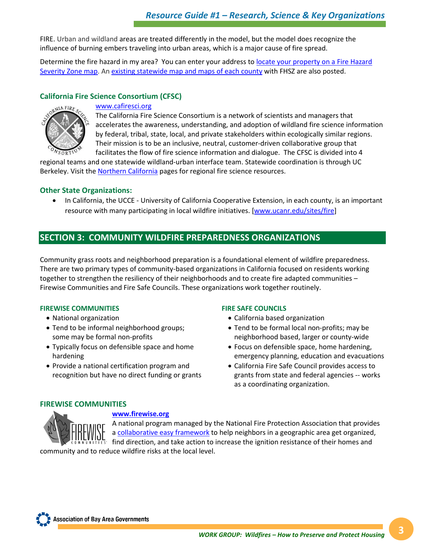FIRE. Urban and wildland areas are treated differently in the model, but the model does recognize the influence of burning embers traveling into urban areas, which is a major cause of fire spread.

Determine the fire hazard in my area?You can enter your address to [locate your property on a Fire Hazard](https://egis.fire.ca.gov/FHSZ)  [Severity Zone map.](https://egis.fire.ca.gov/FHSZ) A[n existing statewide map and maps of each county](https://osfm.fire.ca.gov/divisions/wildfire-planning-engineering/wildland-hazards-building-codes/fire-hazard-severity-zones-maps/) with FHSZ are also posted.

## **California Fire Science Consortium (CFSC)**



#### [www.cafiresci.org](http://www.cafiresci.org/)

The California Fire Science Consortium is a network of scientists and managers that accelerates the awareness, understanding, and adoption of wildland fire science information by federal, tribal, state, local, and private stakeholders within ecologically similar regions. Their mission is to be an inclusive, neutral, customer-driven collaborative group that facilitates the flow of fire science information and dialogue. The CFSC is divided into 4

regional teams and one statewide wildland-urban interface team. Statewide coordination is through UC Berkeley. Visit the [Northern California](https://www.cafiresci.org/northern-california) pages for regional fire science resources.

## **Other State Organizations:**

• In California, the UCCE - University of California Cooperative Extension, in each county, is an important resource with many participating in local wildfire initiatives. [\[www.ucanr.edu/sites/fire\]](http://ucanr.edu/sites/fire/)

## **SECTION 3: COMMUNITY WILDFIRE PREPAREDNESS ORGANIZATIONS**

Community grass roots and neighborhood preparation is a foundational element of wildfire preparedness. There are two primary types of community-based organizations in California focused on residents working together to strengthen the resiliency of their neighborhoods and to create fire adapted communities – Firewise Communities and Fire Safe Councils. These organizations work together routinely.

## **FIREWISE COMMUNITIES**

- National organization
- Tend to be informal neighborhood groups; some may be formal non-profits
- Typically focus on defensible space and home hardening
- Provide a national certification program and recognition but have no direct funding or grants

#### **FIRE SAFE COUNCILS**

- California based organization
- Tend to be formal local non-profits; may be neighborhood based, larger or county-wide
- Focus on defensible space, home hardening, emergency planning, education and evacuations
- California Fire Safe Council provides access to grants from state and federal agencies -- works as a coordinating organization.

## **FIREWISE COMMUNITIES**



## **[www.firewise.org](http://www.firewise.org/)**

A national program managed by the National Fire Protection Association that provides a [collaborative easy framework](https://www.nfpa.org/Public-Education/Fire-causes-and-risks/Wildfire/Firewise-USA/Become-a-Firewise-USA-site) to help neighbors in a geographic area get organized, find direction, and take action to increase the ignition resistance of their homes and

community and to reduce wildfire risks at the local level.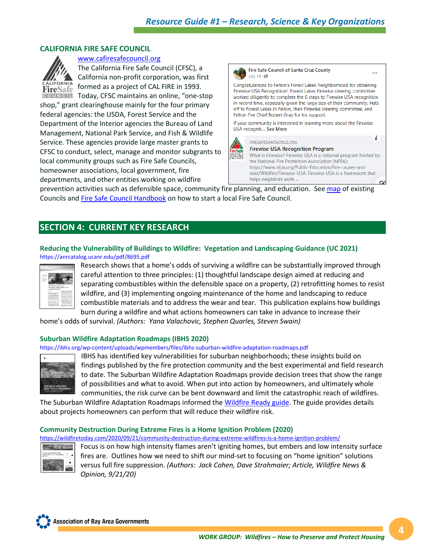## **CALIFORNIA FIRE SAFE COUNCIL**



[www.cafiresafecouncil.org](http://www.cafiresafecouncil.org/)

The California Fire Safe Council (CFSC), a California non-profit corporation, was first formed as a project of CAL FIRE in 1993. Today, CFSC maintains an online, "one-stop

shop," grant clearinghouse mainly for the four primary federal agencies: the USDA, Forest Service and the Department of the Interior agencies the Bureau of Land Management, National Park Service, and Fish & Wildlife Service. These agencies provide large master grants to CFSC to conduct, select, manage and monitor subgrants to local community groups such as Fire Safe Councils, homeowner associations, local government, fire departments, and other entities working on wildfire



prevention activities such as defensible space, community fire planning, and education. See [map](https://cafiresafecouncil.org/resources/fire-safe-councils/map-of-fire-safe-councils/) of existing Councils an[d Fire Safe Council Handbook](https://cafiresafecouncil.org/wp-content/uploads/2020/10/2020-CAFSC_FSC-Handbook_FINAL-online.pdf) on how to start a local Fire Safe Council.

## **SECTION 4: CURRENT KEY RESEARCH**

## **Reducing the Vulnerability of Buildings to Wildfire: Vegetation and Landscaping Guidance (UC 2021)** https://anrcatalog.ucanr.edu/pdf/8695.pdf



Research shows that a home's odds of surviving a wildfire can be substantially improved through careful attention to three principles: (1) thoughtful landscape design aimed at reducing and separating combustibles within the defensible space on a property, (2) retrofitting homes to resist wildfire, and (3) implementing ongoing maintenance of the home and landscaping to reduce combustible materials and to address the wear and tear. This publication explains how buildings burn during a wildfire and what actions homeowners can take in advance to increase their

home's odds of survival. *(Authors: Yana Valachovic, Stephen Quarles, Steven Swain)*

## **Suburban Wildfire Adaptation Roadmaps (IBHS 2020)**

https://ibhs.org/wp-content/uploads/wpmembers/files/ibhs-suburban-wildfire-adaptation-roadmaps.pdf



IBHS has identified key vulnerabilities for suburban neighborhoods; these insights build on findings published by the fire protection community and the best experimental and field research to date. The Suburban Wildfire Adaptation Roadmaps provide decision trees that show the range of possibilities and what to avoid. When put into action by homeowners, and ultimately whole communities, the risk curve can be bent downward and limit the catastrophic reach of wildfires.

The Suburban Wildfire Adaptation Roadmaps informed the [Wildfire Ready guide.](https://disastersafety.org/wildfire/wildfire-ready/) The guide provides details about projects homeowners can perform that will reduce their wildfire risk.

## **Community Destruction During Extreme Fires is a Home Ignition Problem (2020)**

<https://wildfiretoday.com/2020/09/21/community-destruction-during-extreme-wildfires-is-a-home-ignition-problem/>



Focus is on how high intensity flames aren't igniting homes, but embers and low intensity surface fires are. Outlines how we need to shift our mind-set to focusing on "home ignition" solutions versus full fire suppression. *(Authors: Jack Cohen, Dave Strohmaier; Article, Wildfire News & Opinion, 9/21/20)*